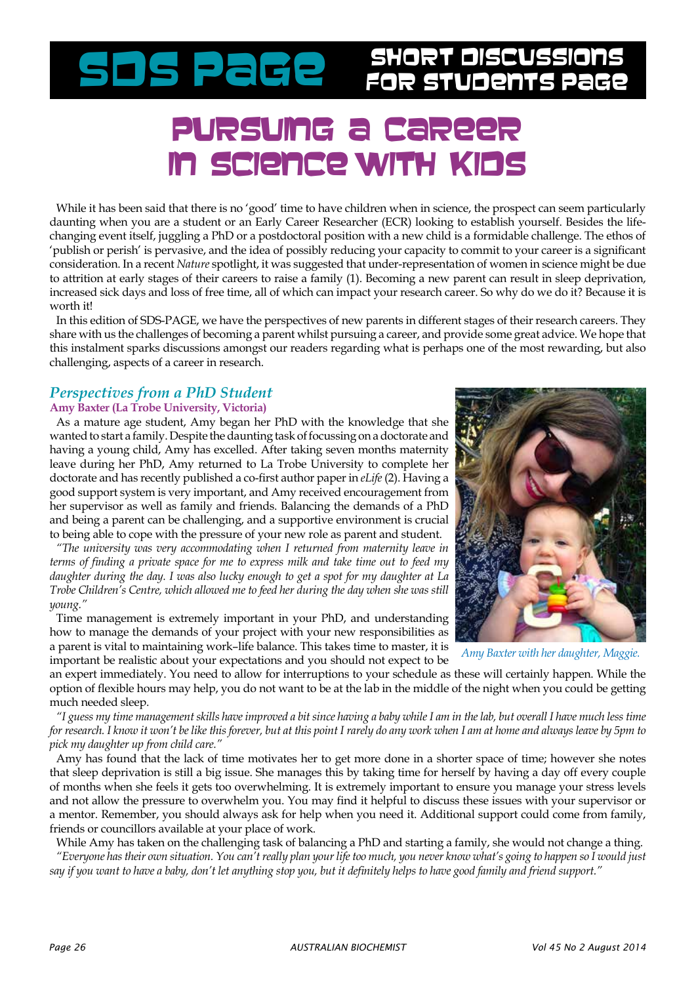# SDS PaGe stort Discussions

### Pursuing a career in science with Kid

While it has been said that there is no 'good' time to have children when in science, the prospect can seem particularly daunting when you are a student or an Early Career Researcher (ECR) looking to establish yourself. Besides the lifechanging event itself, juggling a PhD or a postdoctoral position with a new child is a formidable challenge. The ethos of 'publish or perish' is pervasive, and the idea of possibly reducing your capacity to commit to your career is a significant consideration. In a recent *Nature* spotlight, it was suggested that under-representation of women in science might be due to attrition at early stages of their careers to raise a family (1). Becoming a new parent can result in sleep deprivation, increased sick days and loss of free time, all of which can impact your research career. So why do we do it? Because it is worth it!

In this edition of SDS-PAGE, we have the perspectives of new parents in different stages of their research careers. They share with us the challenges of becoming a parent whilst pursuing a career, and provide some great advice. We hope that this instalment sparks discussions amongst our readers regarding what is perhaps one of the most rewarding, but also challenging, aspects of a career in research.

### *Perspectives from a PhD Student*

#### **Amy Baxter (La Trobe University, Victoria)**

As a mature age student, Amy began her PhD with the knowledge that she wanted to start a family. Despite the daunting task of focussing on a doctorate and having a young child, Amy has excelled. After taking seven months maternity leave during her PhD, Amy returned to La Trobe University to complete her doctorate and has recently published a co-first author paper in *eLife* (2). Having a good support system is very important, and Amy received encouragement from her supervisor as well as family and friends. Balancing the demands of a PhD and being a parent can be challenging, and a supportive environment is crucial to being able to cope with the pressure of your new role as parent and student.

*"The university was very accommodating when I returned from maternity leave in terms of finding a private space for me to express milk and take time out to feed my daughter during the day. I was also lucky enough to get a spot for my daughter at La Trobe Children's Centre, which allowed me to feed her during the day when she was still young."*

Time management is extremely important in your PhD, and understanding how to manage the demands of your project with your new responsibilities as a parent is vital to maintaining work–life balance. This takes time to master, it is important be realistic about your expectations and you should not expect to be



*Amy Baxter with her daughter, Maggie.*

an expert immediately. You need to allow for interruptions to your schedule as these will certainly happen. While the option of flexible hours may help, you do not want to be at the lab in the middle of the night when you could be getting much needed sleep.

*"I guess my time management skills have improved a bit since having a baby while I am in the lab, but overall I have much less time for research. I know it won't be like this forever, but at this point I rarely do any work when I am at home and always leave by 5pm to pick my daughter up from child care."* 

Amy has found that the lack of time motivates her to get more done in a shorter space of time; however she notes that sleep deprivation is still a big issue. She manages this by taking time for herself by having a day off every couple of months when she feels it gets too overwhelming. It is extremely important to ensure you manage your stress levels and not allow the pressure to overwhelm you. You may find it helpful to discuss these issues with your supervisor or a mentor. Remember, you should always ask for help when you need it. Additional support could come from family, friends or councillors available at your place of work.

While Amy has taken on the challenging task of balancing a PhD and starting a family, she would not change a thing. *"Everyone has their own situation. You can't really plan your life too much, you never know what's going to happen so I would just say if you want to have a baby, don't let anything stop you, but it definitely helps to have good family and friend support."*